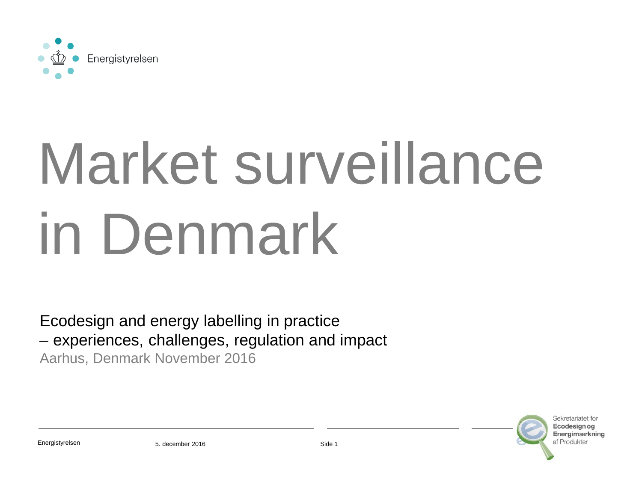

# Market surveillance in Denmark

Ecodesign and energy labelling in practice – experiences, challenges, regulation and impact Aarhus, Denmark November 2016

> Sekreteriatet for Ecodesian or Energimærkning af Produkte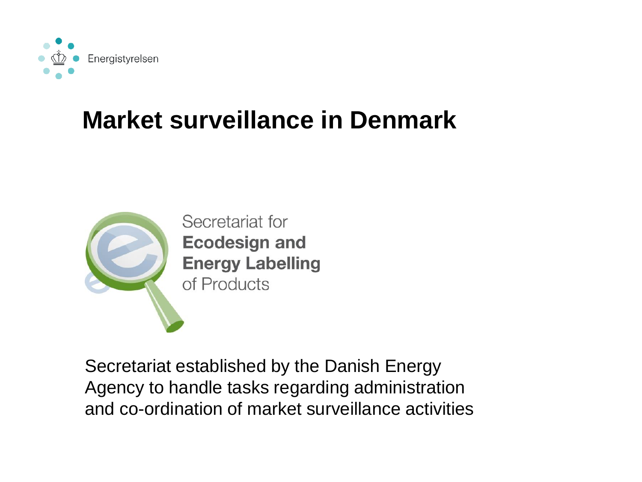

#### **Market surveillance in Denmark**



Secretariat established by the Danish Energy Agency to handle tasks regarding administration and co-ordination of market surveillance activities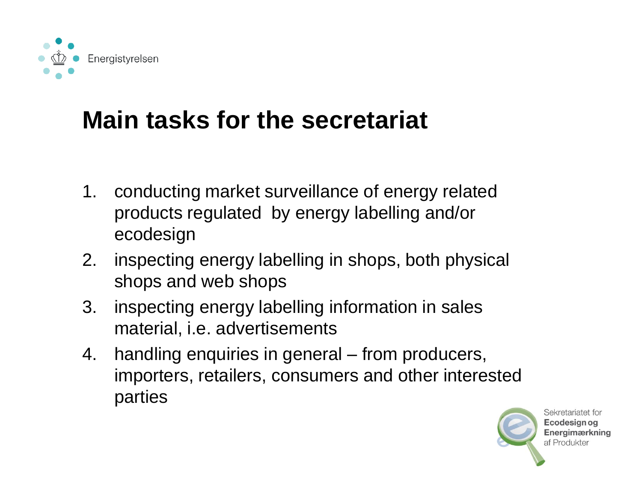

### **Main tasks for the secretariat**

- 1. conducting market surveillance of energy related products regulated by energy labelling and/or ecodesign
- 2. inspecting energy labelling in shops, both physical shops and web shops
- 3. inspecting energy labelling information in sales material, i.e. advertisements
- 4. handling enquiries in general from producers, importers, retailers, consumers and other interested parties



Sekretariatet for Ecodesian oa **Energimærkning** af Produkter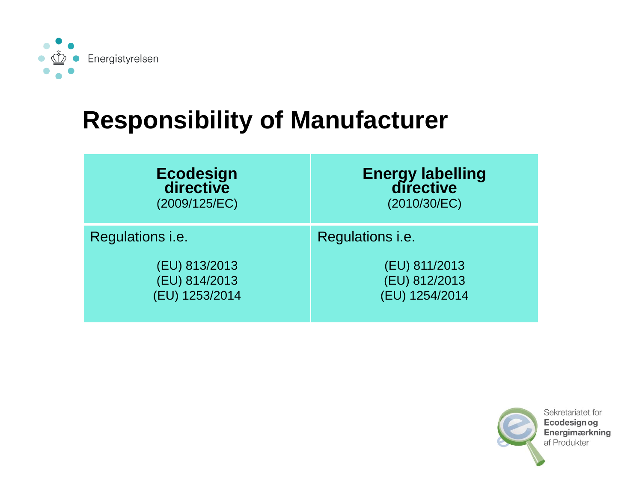

#### **Responsibility of Manufacturer**

| Ecodesign<br>directive  | <b>Energy labelling</b><br>directive |  |
|-------------------------|--------------------------------------|--|
| (2009/125/EC)           | (2010/30/EC)                         |  |
| Regulations <i>i.e.</i> | Regulations i.e.                     |  |
| (EU) 813/2013           | (EU) 811/2013                        |  |
| (EU) 814/2013           | (EU) 812/2013                        |  |
| (EU) 1253/2014          | (EU) 1254/2014                       |  |

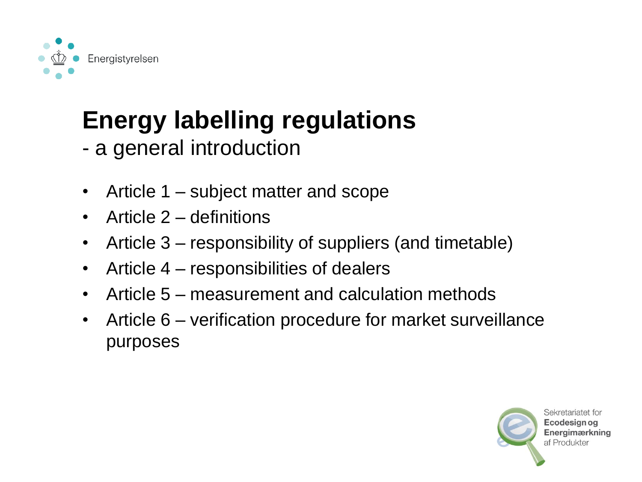

### **Energy labelling regulations**

- a general introduction
- Article 1 subject matter and scope
- Article 2 definitions
- Article 3 responsibility of suppliers (and timetable)
- Article 4 responsibilities of dealers
- Article 5 measurement and calculation methods
- Article 6 verification procedure for market surveillance purposes

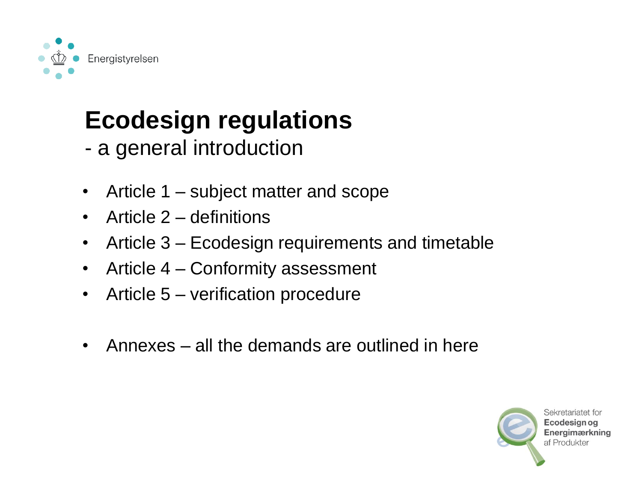

### **Ecodesign regulations**

- a general introduction
- Article 1 subject matter and scope
- Article 2 definitions
- Article 3 Ecodesign requirements and timetable
- Article 4 Conformity assessment
- Article 5 verification procedure
- Annexes all the demands are outlined in here

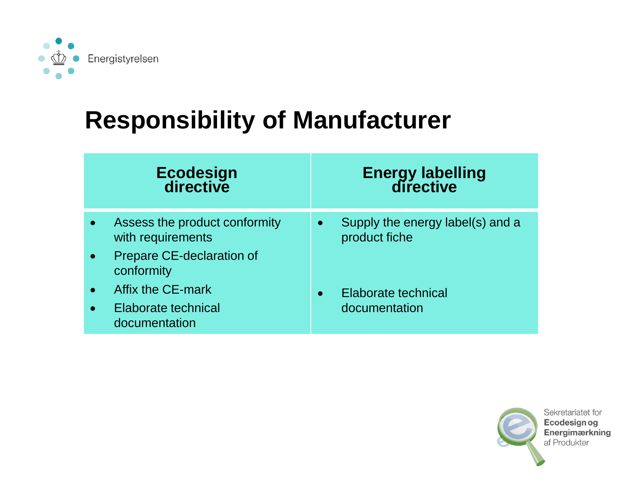

#### **Responsibility of Manufacturer**

|           | Ecodesign<br>directive                                       | <b>Energy labelling<br/>directive</b>                          |
|-----------|--------------------------------------------------------------|----------------------------------------------------------------|
| $\bullet$ | Assess the product conformity<br>with requirements           | Supply the energy label(s) and a<br>$\bullet$<br>product fiche |
| $\bullet$ | Prepare CE-declaration of<br>conformity<br>Affix the CE-mark | Elaborate technical                                            |
|           | Elaborate technical<br>documentation                         | documentation                                                  |

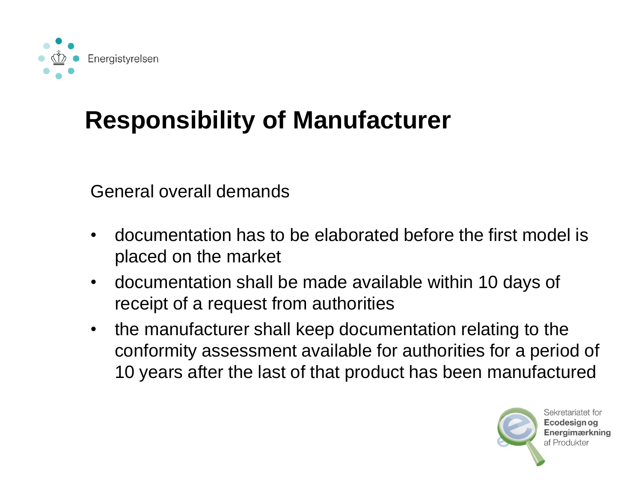

### **Responsibility of Manufacturer**

General overall demands

- documentation has to be elaborated before the first model is placed on the market
- documentation shall be made available within 10 days of receipt of a request from authorities
- the manufacturer shall keep documentation relating to the conformity assessment available for authorities for a period of 10 years after the last of that product has been manufactured



Sekretariatet for Ecodesian oa **Energimærkning** af Produkter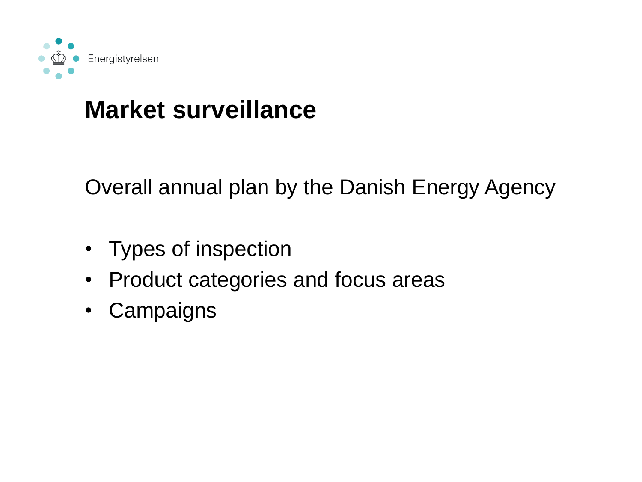

#### **Market surveillance**

Overall annual plan by the Danish Energy Agency

- Types of inspection
- Product categories and focus areas
- Campaigns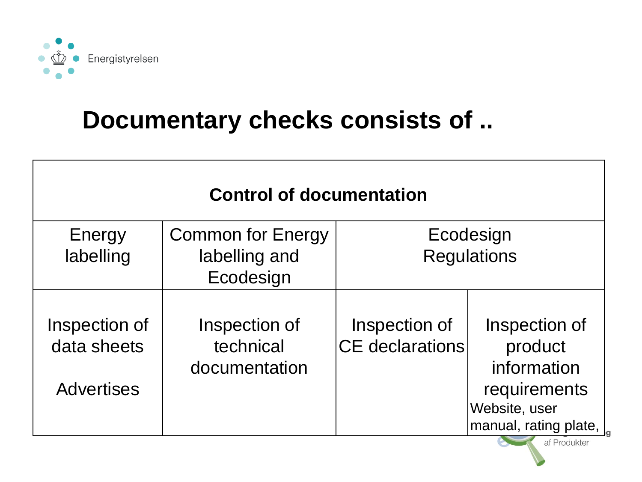

#### **Documentary checks consists of ..**

| <b>Control of documentation</b> |                          |                        |                                       |  |  |  |  |
|---------------------------------|--------------------------|------------------------|---------------------------------------|--|--|--|--|
| Energy                          | <b>Common for Energy</b> | Ecodesign              |                                       |  |  |  |  |
| labelling                       | labelling and            | <b>Regulations</b>     |                                       |  |  |  |  |
|                                 | Ecodesign                |                        |                                       |  |  |  |  |
|                                 |                          |                        |                                       |  |  |  |  |
| Inspection of                   | Inspection of            | Inspection of          | Inspection of                         |  |  |  |  |
| data sheets                     | technical                | <b>CE</b> declarations | product                               |  |  |  |  |
|                                 | documentation            |                        | information                           |  |  |  |  |
| <b>Advertises</b>               |                          |                        | requirements                          |  |  |  |  |
|                                 |                          |                        | Website, user                         |  |  |  |  |
|                                 |                          |                        | manual, rating plate,<br>af Produkter |  |  |  |  |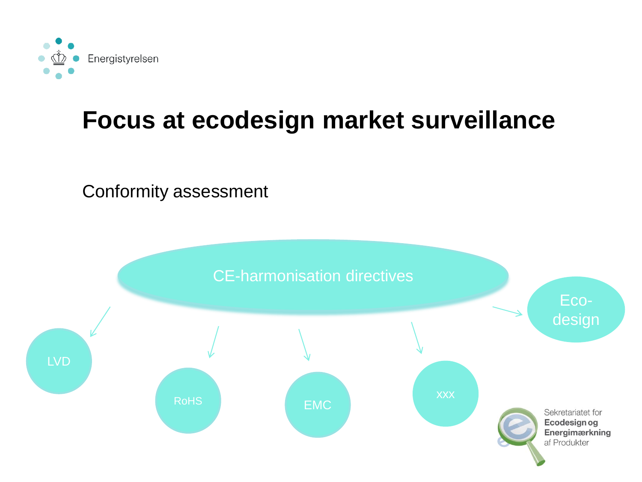

### **Focus at ecodesign market surveillance**

#### Conformity assessment

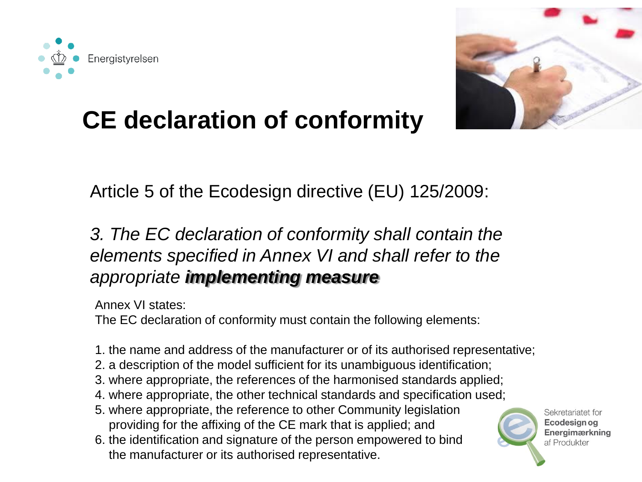



### **CE declaration of conformity**

#### Article 5 of the Ecodesign directive (EU) 125/2009:

#### *3. The EC declaration of conformity shall contain the elements specified in Annex VI and shall refer to the appropriate implementing measure*

Annex VI states:

The EC declaration of conformity must contain the following elements:

- 1. the name and address of the manufacturer or of its authorised representative;
- 2. a description of the model sufficient for its unambiguous identification;
- 3. where appropriate, the references of the harmonised standards applied;
- 4. where appropriate, the other technical standards and specification used;
- 5. where appropriate, the reference to other Community legislation providing for the affixing of the CE mark that is applied; and
- 6. the identification and signature of the person empowered to bind the manufacturer or its authorised representative.

Sekretariatet for Ecodesian og **Energimærkning** af Produkter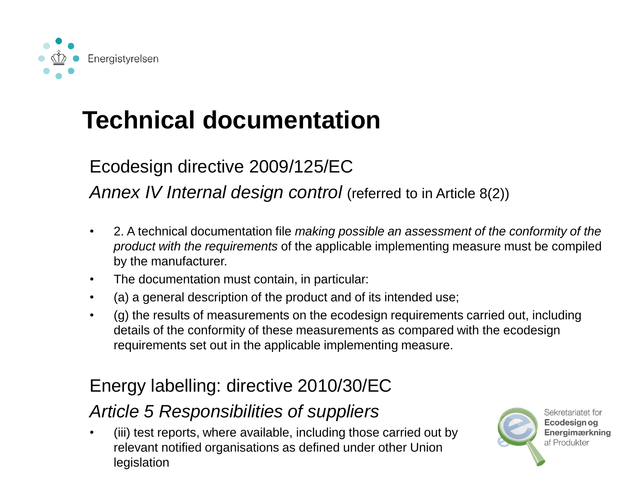

#### Ecodesign directive 2009/125/EC

*Annex IV Internal design control (referred to in Article 8(2))* 

- 2. A technical documentation file *making possible an assessment of the conformity of the product with the requirements* of the applicable implementing measure must be compiled by the manufacturer.
- The documentation must contain, in particular:
- (a) a general description of the product and of its intended use;
- (g) the results of measurements on the ecodesign requirements carried out, including details of the conformity of these measurements as compared with the ecodesign requirements set out in the applicable implementing measure.

#### Energy labelling: directive 2010/30/EC

#### *Article 5 Responsibilities of suppliers*

• (iii) test reports, where available, including those carried out by relevant notified organisations as defined under other Union legislation



Sekretariatet for Ecodesian oa **Energimærkning** af Produkter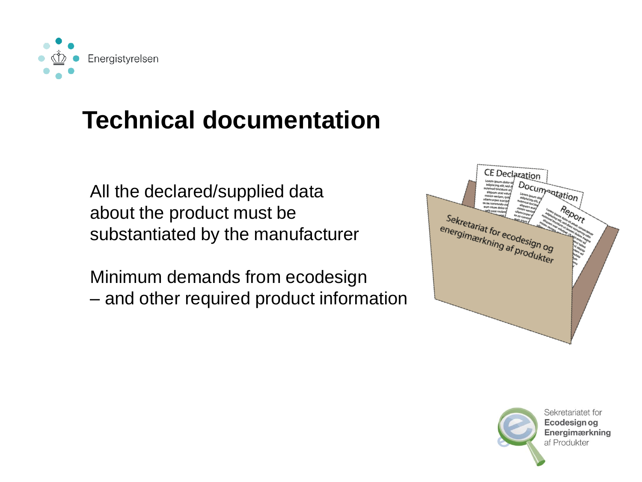

All the declared/supplied data about the product must be substantiated by the manufacturer

Minimum demands from ecodesign – and other required product information



Sekretariatet for Ecodesian og Energimærkning af Produkter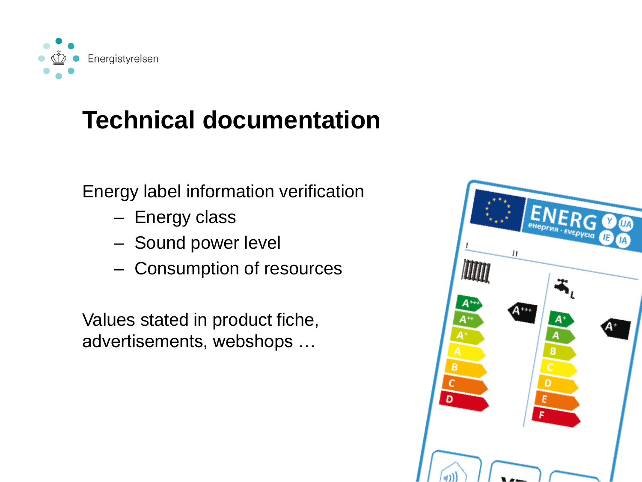

Energy label information verification

- Energy class
- Sound power level
- Consumption of resources

Values stated in product fiche, advertisements, webshops …

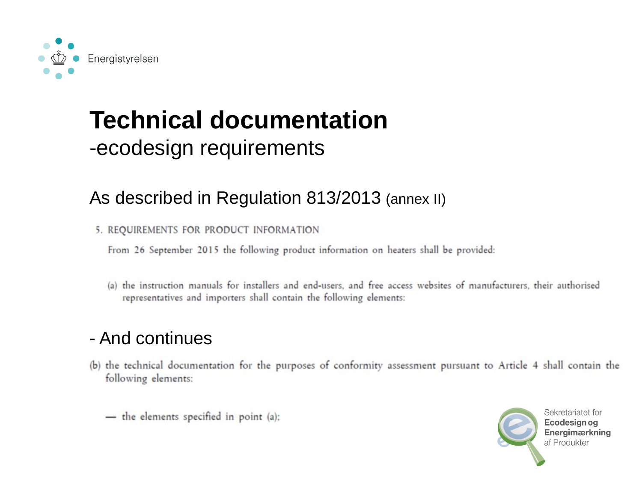

#### -ecodesign requirements

#### As described in Regulation 813/2013 (annex II)

5. REQUIREMENTS FOR PRODUCT INFORMATION

From 26 September 2015 the following product information on heaters shall be provided:

(a) the instruction manuals for installers and end-users, and free access websites of manufacturers, their authorised representatives and importers shall contain the following elements:

#### - And continues

- (b) the technical documentation for the purposes of conformity assessment pursuant to Article 4 shall contain the following elements:
	- the elements specified in point (a);

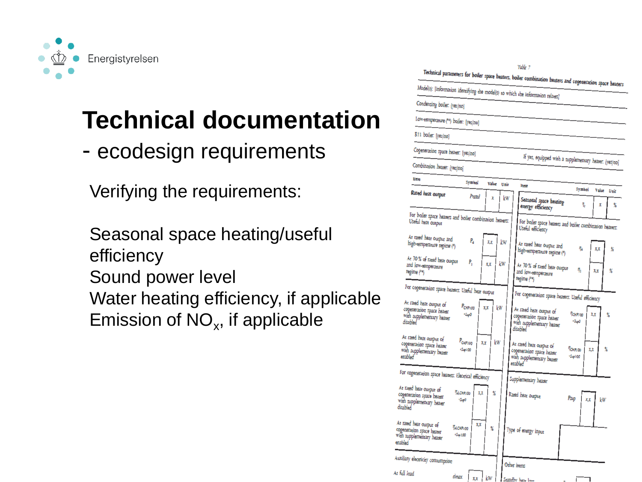

- ecodesign requirements

Verifying the requirements:

Seasonal space heating/useful efficiency Sound power level Water heating efficiency, if applicable Emission of  $NO<sub>x</sub>$ , if applicable

| Model(s): [information identifying the model(s) to which the information relates]<br>Condensing boiler: [yes/no]<br>Low-temperature (**) boiler: [yes/no]<br>B11 boiler: [yes/no]<br>Cogeneration space heater: [yes/no]<br>If yes, equipped with a supplementary heater: [yes/no]<br>Combination heater: [yes/no]<br>Item<br>Symbol<br>Value<br>Unit<br>Item<br>Symbol<br>Value<br>Unit<br>Rated heat output<br>Prated<br>X<br>kw<br>Seasonal space heating<br>η,<br>X<br>x<br>energy efficiency<br>For boiler space heaters and boiler combination heaters:<br>Useful heat output<br>For boiler space heaters and boiler combination heaters:<br>Useful efficiency<br>At rated heat output and<br>P,<br>kw<br>XΧ<br>high-temperature regime (*)<br>At rated heat output and<br>η.<br>X,X<br>X<br>high-temperature regime (*)<br>At 30 % of rated heat output<br>Ρ,<br>kw<br>X,X<br>and low-eemperature<br>At 30 % of rated heat output<br>η,<br>X<br>X,X<br>regime (**)<br>and low-temperature<br>regime (**)<br>For cogeneration space heaters: Useful hear output<br>For cogeneration space heaters: Useful efficiency<br>At rated heat output of<br>P <sub>CHP100</sub><br>kw<br>XX<br>cogeneration space heater<br>At rated heat output of<br>TCHP100<br>$+50$<br>X, X<br>X<br>with supplementary heater<br>cogeneration space heater<br>disabled<br>$+5\mu$ p0<br>with supplementary heater<br>disabled<br>At rated heat output of<br>P <sub>CHP100</sub><br>kw<br>X.X<br>cogeneration space heater<br>At rated heat output of<br>Пантоо<br>X<br>$+5400$<br>XX<br>with supplementary heater<br>cogeneration space heater<br>enabled<br>$+$ Sup100<br>with supplementary heater<br>enabled <sup>®</sup><br>For cogeneration space heaters: Electrical efficiency<br>Supplementary heater<br>At rated heat output of<br><b>Песні 100</b><br>X<br>XX<br>cogeneration space heater<br>Rated heat output<br>Psup<br>$+ \ln p$<br>X,X<br>kw<br>with supplementary heater<br>disabled<br>At rated heat output of<br>XX<br>Tel.CHP100<br>X<br>Type of energy input<br>cogeneration space heater<br>$+5400$<br>with supplementary heater<br>enabled<br>Auxiliary electricity consumption<br>Other items<br>At full load | Table 7<br>Technical parameters for boiler space heaters, boiler combination heaters and cogeneration space heaters |
|-----------------------------------------------------------------------------------------------------------------------------------------------------------------------------------------------------------------------------------------------------------------------------------------------------------------------------------------------------------------------------------------------------------------------------------------------------------------------------------------------------------------------------------------------------------------------------------------------------------------------------------------------------------------------------------------------------------------------------------------------------------------------------------------------------------------------------------------------------------------------------------------------------------------------------------------------------------------------------------------------------------------------------------------------------------------------------------------------------------------------------------------------------------------------------------------------------------------------------------------------------------------------------------------------------------------------------------------------------------------------------------------------------------------------------------------------------------------------------------------------------------------------------------------------------------------------------------------------------------------------------------------------------------------------------------------------------------------------------------------------------------------------------------------------------------------------------------------------------------------------------------------------------------------------------------------------------------------------------------------------------------------------------------------------------------------------------------------------------------------------------------------------------------------------------------------------------------------------|---------------------------------------------------------------------------------------------------------------------|
|                                                                                                                                                                                                                                                                                                                                                                                                                                                                                                                                                                                                                                                                                                                                                                                                                                                                                                                                                                                                                                                                                                                                                                                                                                                                                                                                                                                                                                                                                                                                                                                                                                                                                                                                                                                                                                                                                                                                                                                                                                                                                                                                                                                                                       |                                                                                                                     |
|                                                                                                                                                                                                                                                                                                                                                                                                                                                                                                                                                                                                                                                                                                                                                                                                                                                                                                                                                                                                                                                                                                                                                                                                                                                                                                                                                                                                                                                                                                                                                                                                                                                                                                                                                                                                                                                                                                                                                                                                                                                                                                                                                                                                                       |                                                                                                                     |
|                                                                                                                                                                                                                                                                                                                                                                                                                                                                                                                                                                                                                                                                                                                                                                                                                                                                                                                                                                                                                                                                                                                                                                                                                                                                                                                                                                                                                                                                                                                                                                                                                                                                                                                                                                                                                                                                                                                                                                                                                                                                                                                                                                                                                       |                                                                                                                     |
|                                                                                                                                                                                                                                                                                                                                                                                                                                                                                                                                                                                                                                                                                                                                                                                                                                                                                                                                                                                                                                                                                                                                                                                                                                                                                                                                                                                                                                                                                                                                                                                                                                                                                                                                                                                                                                                                                                                                                                                                                                                                                                                                                                                                                       |                                                                                                                     |
|                                                                                                                                                                                                                                                                                                                                                                                                                                                                                                                                                                                                                                                                                                                                                                                                                                                                                                                                                                                                                                                                                                                                                                                                                                                                                                                                                                                                                                                                                                                                                                                                                                                                                                                                                                                                                                                                                                                                                                                                                                                                                                                                                                                                                       |                                                                                                                     |
|                                                                                                                                                                                                                                                                                                                                                                                                                                                                                                                                                                                                                                                                                                                                                                                                                                                                                                                                                                                                                                                                                                                                                                                                                                                                                                                                                                                                                                                                                                                                                                                                                                                                                                                                                                                                                                                                                                                                                                                                                                                                                                                                                                                                                       |                                                                                                                     |
|                                                                                                                                                                                                                                                                                                                                                                                                                                                                                                                                                                                                                                                                                                                                                                                                                                                                                                                                                                                                                                                                                                                                                                                                                                                                                                                                                                                                                                                                                                                                                                                                                                                                                                                                                                                                                                                                                                                                                                                                                                                                                                                                                                                                                       |                                                                                                                     |
|                                                                                                                                                                                                                                                                                                                                                                                                                                                                                                                                                                                                                                                                                                                                                                                                                                                                                                                                                                                                                                                                                                                                                                                                                                                                                                                                                                                                                                                                                                                                                                                                                                                                                                                                                                                                                                                                                                                                                                                                                                                                                                                                                                                                                       |                                                                                                                     |
|                                                                                                                                                                                                                                                                                                                                                                                                                                                                                                                                                                                                                                                                                                                                                                                                                                                                                                                                                                                                                                                                                                                                                                                                                                                                                                                                                                                                                                                                                                                                                                                                                                                                                                                                                                                                                                                                                                                                                                                                                                                                                                                                                                                                                       |                                                                                                                     |
|                                                                                                                                                                                                                                                                                                                                                                                                                                                                                                                                                                                                                                                                                                                                                                                                                                                                                                                                                                                                                                                                                                                                                                                                                                                                                                                                                                                                                                                                                                                                                                                                                                                                                                                                                                                                                                                                                                                                                                                                                                                                                                                                                                                                                       |                                                                                                                     |
|                                                                                                                                                                                                                                                                                                                                                                                                                                                                                                                                                                                                                                                                                                                                                                                                                                                                                                                                                                                                                                                                                                                                                                                                                                                                                                                                                                                                                                                                                                                                                                                                                                                                                                                                                                                                                                                                                                                                                                                                                                                                                                                                                                                                                       |                                                                                                                     |
|                                                                                                                                                                                                                                                                                                                                                                                                                                                                                                                                                                                                                                                                                                                                                                                                                                                                                                                                                                                                                                                                                                                                                                                                                                                                                                                                                                                                                                                                                                                                                                                                                                                                                                                                                                                                                                                                                                                                                                                                                                                                                                                                                                                                                       |                                                                                                                     |
|                                                                                                                                                                                                                                                                                                                                                                                                                                                                                                                                                                                                                                                                                                                                                                                                                                                                                                                                                                                                                                                                                                                                                                                                                                                                                                                                                                                                                                                                                                                                                                                                                                                                                                                                                                                                                                                                                                                                                                                                                                                                                                                                                                                                                       | elmax<br>kw<br>XX.<br>Standby has loss                                                                              |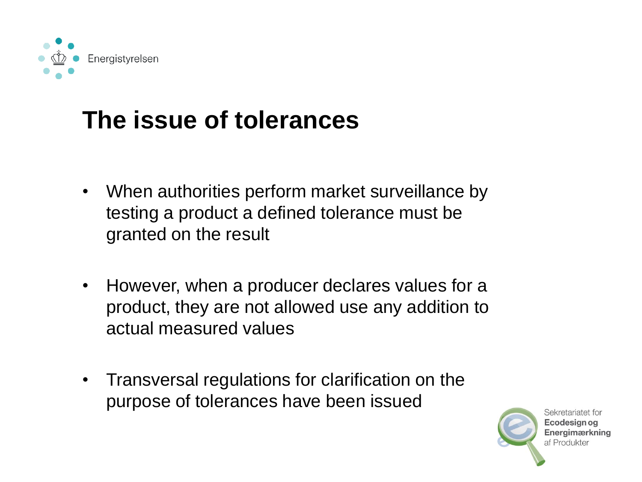

### **The issue of tolerances**

- When authorities perform market surveillance by testing a product a defined tolerance must be granted on the result
- However, when a producer declares values for a product, they are not allowed use any addition to actual measured values
- Transversal regulations for clarification on the purpose of tolerances have been issued

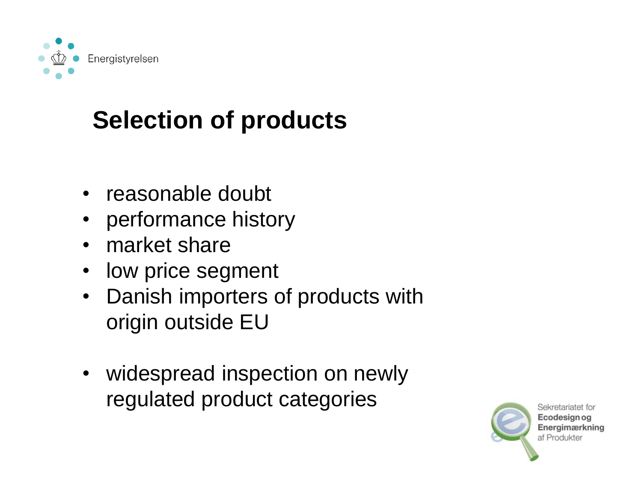

### **Selection of products**

- reasonable doubt
- performance history
- market share
- low price segment
- Danish importers of products with origin outside EU
- widespread inspection on newly regulated product categories

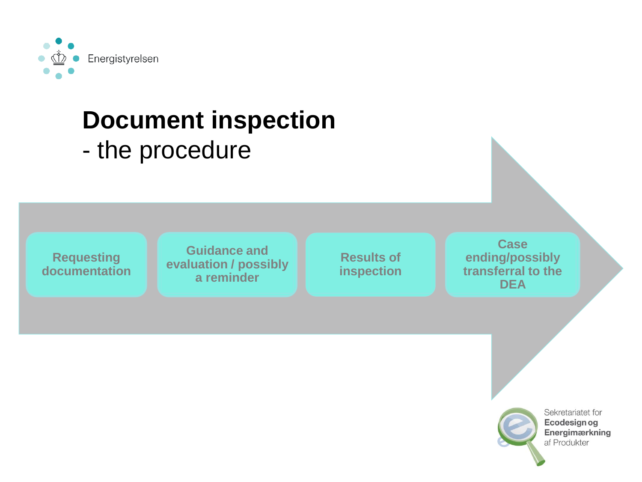

# **Document inspection**

- the procedure

**Requesting documentation**

**Guidance and evaluation / possibly a reminder**

**Results of inspection**

**Case ending/possibly transferral to the DEA**

Sekretariatet for **Ecodesign og** Energimærkning af Produkter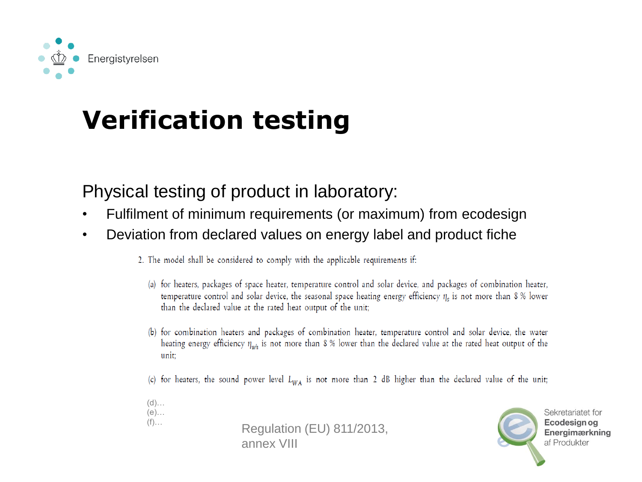

### **Verification testing**

#### Physical testing of product in laboratory:

- Fulfilment of minimum requirements (or maximum) from ecodesign
- Deviation from declared values on energy label and product fiche
	- 2. The model shall be considered to comply with the applicable requirements if:
		- (a) for heaters, packages of space heater, temperature control and solar device, and packages of combination heater, temperature control and solar device, the seasonal space heating energy efficiency  $\eta_s$  is not more than 8 % lower than the declared value at the rated heat output of the unit;
		- (b) for combination heaters and packages of combination heater, temperature control and solar device, the water heating energy efficiency  $\eta_{wh}$  is not more than 8 % lower than the declared value at the rated heat output of the unit:
		- (c) for heaters, the sound power level  $L_{WA}$  is not more than 2 dB higher than the declared value of the unit;
	- $(d)$ …  $(e)$ ...  $(f)$ …

Regulation (EU) 811/2013, annex VIII

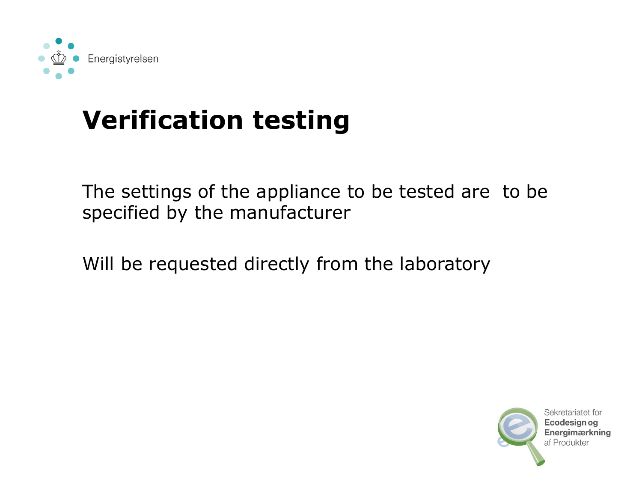

### **Verification testing**

The settings of the appliance to be tested are to be specified by the manufacturer

Will be requested directly from the laboratory

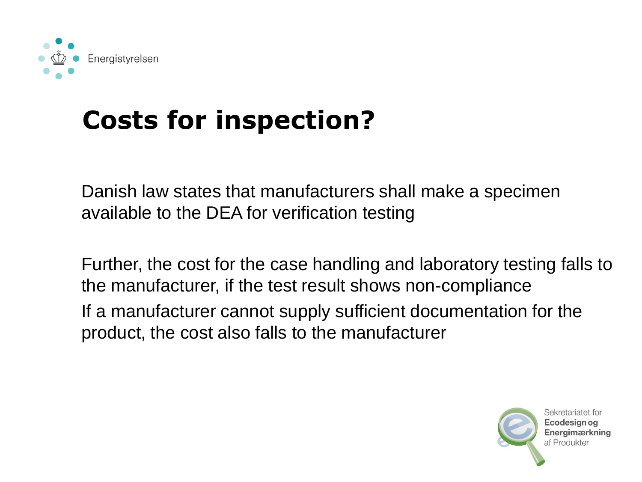

### **Costs for inspection?**

Danish law states that manufacturers shall make a specimen available to the DEA for verification testing

Further, the cost for the case handling and laboratory testing falls to the manufacturer, if the test result shows non-compliance If a manufacturer cannot supply sufficient documentation for the product, the cost also falls to the manufacturer

> Sekretariatet for Ecodesian oa **Energimærkning** af Produkter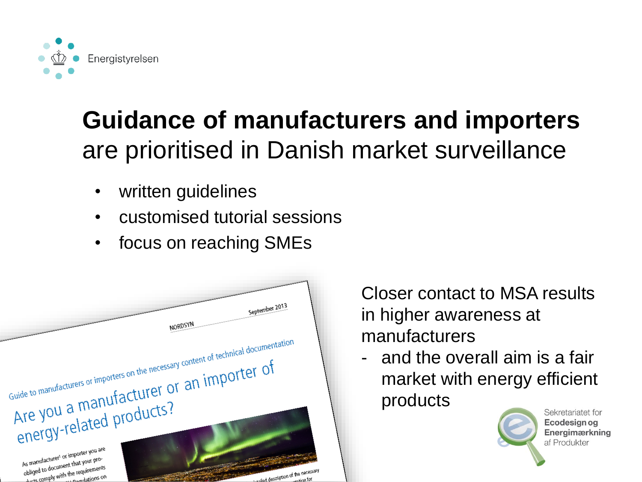

### **Guidance of manufacturers and importers**  are prioritised in Danish market surveillance

- written guidelines
- customised tutorial sessions
- focus on reaching SMEs



Closer contact to MSA results in higher awareness at manufacturers

- and the overall aim is a fair market with energy efficient products



Sekretariatet for Ecodesian og Energimærkning af Produkter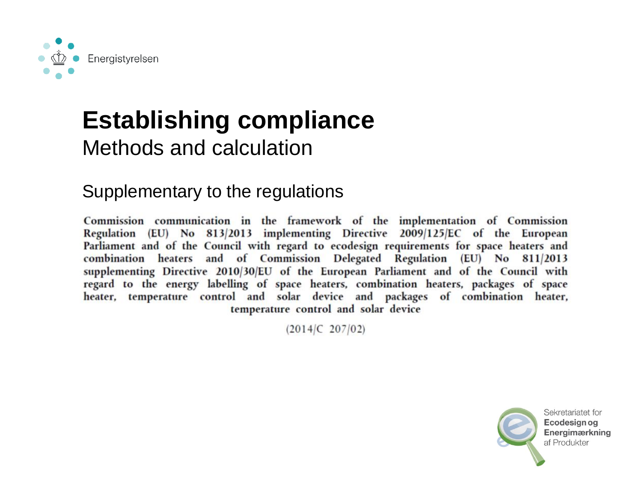

## **Establishing compliance**

#### Methods and calculation

#### Supplementary to the regulations

Commission communication in the framework of the implementation of Commission Regulation (EU) No 813/2013 implementing Directive 2009/125/EC of the European Parliament and of the Council with regard to ecodesign requirements for space heaters and combination heaters and of Commission Delegated Regulation (EU) No 811/2013 supplementing Directive 2010/30/EU of the European Parliament and of the Council with regard to the energy labelling of space heaters, combination heaters, packages of space heater, temperature control and solar device and packages of combination heater, temperature control and solar device

 $(2014)C$  207/02)

Sekretariatet for Ecodesian og Energimærkning af Produkter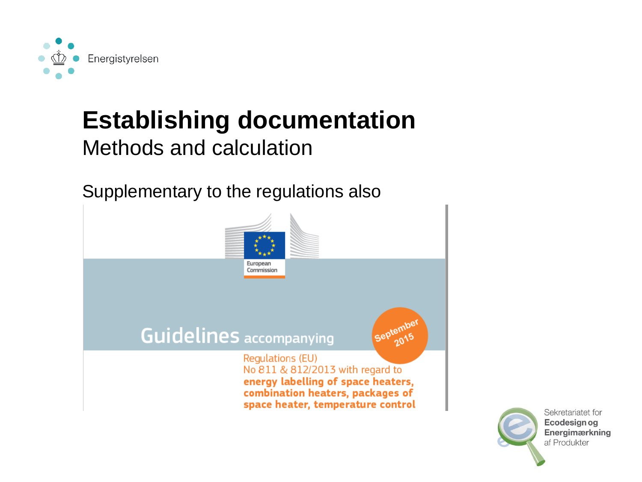

### **Establishing documentation**

#### Methods and calculation

Supplementary to the regulations also



Sekretariatet for **Ecodesign og** Energimærkning af Produkter